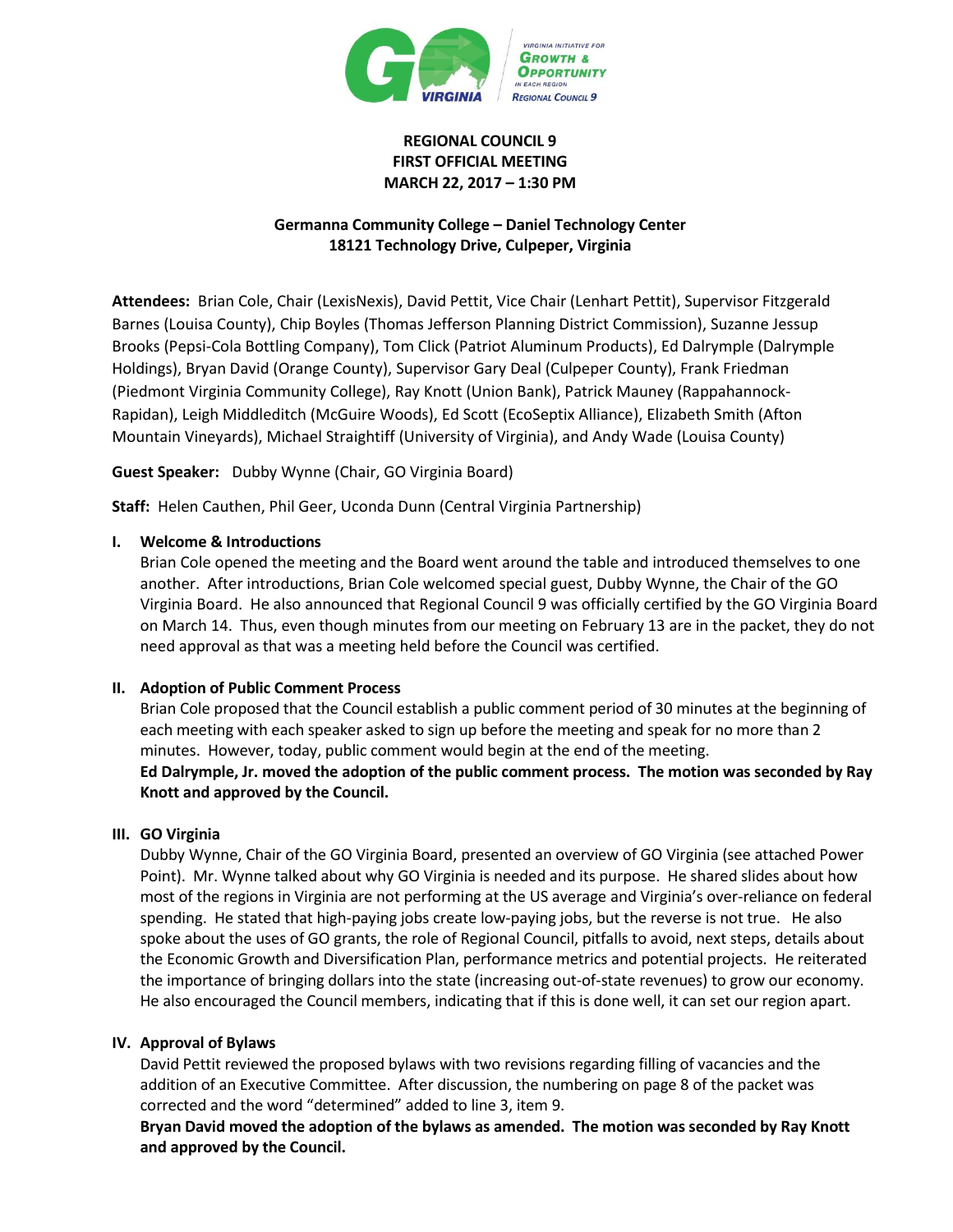

# **REGIONAL COUNCIL 9 FIRST OFFICIAL MEETING MARCH 22, 2017 – 1:30 PM**

# **Germanna Community College – Daniel Technology Center 18121 Technology Drive, Culpeper, Virginia**

**Attendees:** Brian Cole, Chair (LexisNexis), David Pettit, Vice Chair (Lenhart Pettit), Supervisor Fitzgerald Barnes (Louisa County), Chip Boyles (Thomas Jefferson Planning District Commission), Suzanne Jessup Brooks (Pepsi-Cola Bottling Company), Tom Click (Patriot Aluminum Products), Ed Dalrymple (Dalrymple Holdings), Bryan David (Orange County), Supervisor Gary Deal (Culpeper County), Frank Friedman (Piedmont Virginia Community College), Ray Knott (Union Bank), Patrick Mauney (Rappahannock-Rapidan), Leigh Middleditch (McGuire Woods), Ed Scott (EcoSeptix Alliance), Elizabeth Smith (Afton Mountain Vineyards), Michael Straightiff (University of Virginia), and Andy Wade (Louisa County)

**Guest Speaker:** Dubby Wynne (Chair, GO Virginia Board)

**Staff:** Helen Cauthen, Phil Geer, Uconda Dunn (Central Virginia Partnership)

# **I. Welcome & Introductions**

Brian Cole opened the meeting and the Board went around the table and introduced themselves to one another. After introductions, Brian Cole welcomed special guest, Dubby Wynne, the Chair of the GO Virginia Board. He also announced that Regional Council 9 was officially certified by the GO Virginia Board on March 14. Thus, even though minutes from our meeting on February 13 are in the packet, they do not need approval as that was a meeting held before the Council was certified.

# **II. Adoption of Public Comment Process**

Brian Cole proposed that the Council establish a public comment period of 30 minutes at the beginning of each meeting with each speaker asked to sign up before the meeting and speak for no more than 2 minutes. However, today, public comment would begin at the end of the meeting. **Ed Dalrymple, Jr. moved the adoption of the public comment process. The motion was seconded by Ray Knott and approved by the Council.**

# **III. GO Virginia**

Dubby Wynne, Chair of the GO Virginia Board, presented an overview of GO Virginia (see attached Power Point). Mr. Wynne talked about why GO Virginia is needed and its purpose. He shared slides about how most of the regions in Virginia are not performing at the US average and Virginia's over-reliance on federal spending. He stated that high-paying jobs create low-paying jobs, but the reverse is not true. He also spoke about the uses of GO grants, the role of Regional Council, pitfalls to avoid, next steps, details about the Economic Growth and Diversification Plan, performance metrics and potential projects. He reiterated the importance of bringing dollars into the state (increasing out-of-state revenues) to grow our economy. He also encouraged the Council members, indicating that if this is done well, it can set our region apart.

# **IV. Approval of Bylaws**

David Pettit reviewed the proposed bylaws with two revisions regarding filling of vacancies and the addition of an Executive Committee. After discussion, the numbering on page 8 of the packet was corrected and the word "determined" added to line 3, item 9.

**Bryan David moved the adoption of the bylaws as amended. The motion was seconded by Ray Knott and approved by the Council.**